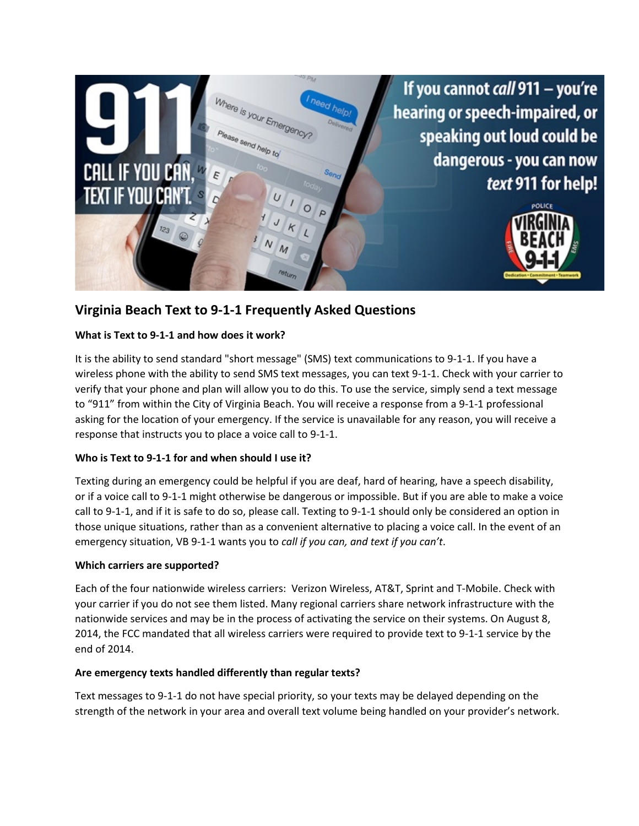

# **Virginia Beach Text to 9-1-1 Frequently Asked Questions**

## **What is Text to 9-1-1 and how does it work?**

It is the ability to send standard "short message" (SMS) text communications to 9-1-1. If you have a wireless phone with the ability to send SMS text messages, you can text 9-1-1. Check with your carrier to verify that your phone and plan will allow you to do this. To use the service, simply send a text message to "911" from within the City of Virginia Beach. You will receive a response from a 9-1-1 professional asking for the location of your emergency. If the service is unavailable for any reason, you will receive a response that instructs you to place a voice call to 9-1-1.

#### **Who is Text to 9-1-1 for and when should I use it?**

Texting during an emergency could be helpful if you are deaf, hard of hearing, have a speech disability, or if a voice call to 9-1-1 might otherwise be dangerous or impossible. But if you are able to make a voice call to 9-1-1, and if it is safe to do so, please call. Texting to 9-1-1 should only be considered an option in those unique situations, rather than as a convenient alternative to placing a voice call. In the event of an emergency situation, VB 9-1-1 wants you to *call if you can, and text if you can't*.

#### **Which carriers are supported?**

Each of the four nationwide wireless carriers: Verizon Wireless, AT&T, Sprint and T-Mobile. Check with your carrier if you do not see them listed. Many regional carriers share network infrastructure with the nationwide services and may be in the process of activating the service on their systems. On August 8, 2014, the FCC mandated that all wireless carriers were required to provide text to 9-1-1 service by the end of 2014.

#### **Are emergency texts handled differently than regular texts?**

Text messages to 9-1-1 do not have special priority, so your texts may be delayed depending on the strength of the network in your area and overall text volume being handled on your provider's network.